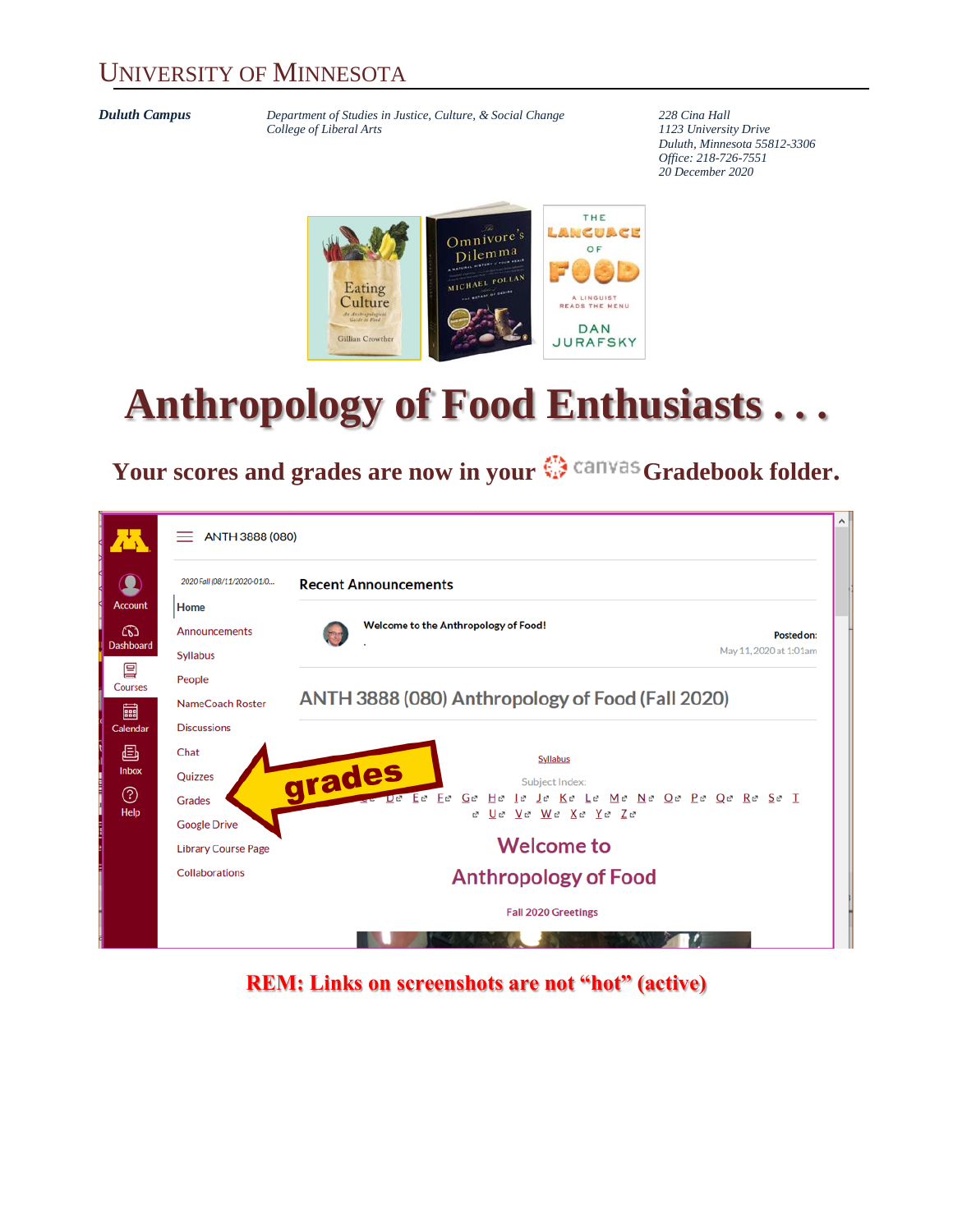#### UNIVERSITY OF MINNESOTA

*Duluth Campus Department of Studies in Justice, Culture, & Social Change* **228** *Cina Hall College of Liberal Arts 1123 University Drive*  $College of Liberal Arts$ 

*Duluth, Minnesota 55812-3306 Office: 218-726-7551 20 December 2020*



# **Anthropology of Food Enthusiasts . . .**

### Your scores and grades are now in your  $\mathbb{G}$  canvas Gradebook folder.

|                  | ANTH 3888 (080)<br>=                                                 |                                                    |  |  |  |  |  |  |
|------------------|----------------------------------------------------------------------|----------------------------------------------------|--|--|--|--|--|--|
|                  | 2020 Fall (08/11/2020-01/0<br><b>Recent Announcements</b>            |                                                    |  |  |  |  |  |  |
| Account          | Home                                                                 |                                                    |  |  |  |  |  |  |
| ෬                | Announcements                                                        | Welcome to the Anthropology of Food!<br>Posted on: |  |  |  |  |  |  |
| <b>Dashboard</b> | <b>Syllabus</b>                                                      | May 11, 2020 at 1:01am                             |  |  |  |  |  |  |
| 冒<br>Courses     | People                                                               |                                                    |  |  |  |  |  |  |
| 圇                | ANTH 3888 (080) Anthropology of Food (Fall 2020)<br>NameCoach Roster |                                                    |  |  |  |  |  |  |
| Calendar         | <b>Discussions</b>                                                   |                                                    |  |  |  |  |  |  |
| 画                | Chat                                                                 | <b>Syllabus</b>                                    |  |  |  |  |  |  |
| Inbox            | Quizzes                                                              | grades<br>Subject Index:                           |  |  |  |  |  |  |
| ℗                | <b>Grades</b>                                                        | Ee Fe Ge<br>He le Je Ke Le Me Ne Oe Pe Qe Re Se I  |  |  |  |  |  |  |
| Help             | <b>Google Drive</b>                                                  | Ue Ve We Xe Ye Ze<br>rð.                           |  |  |  |  |  |  |
|                  | <b>Library Course Page</b>                                           | <b>Welcome to</b>                                  |  |  |  |  |  |  |
|                  | <b>Collaborations</b>                                                |                                                    |  |  |  |  |  |  |
|                  | <b>Anthropology of Food</b>                                          |                                                    |  |  |  |  |  |  |
|                  |                                                                      | <b>Fall 2020 Greetings</b>                         |  |  |  |  |  |  |
|                  |                                                                      |                                                    |  |  |  |  |  |  |

**REM: Links on screenshots are not "hot" (active)**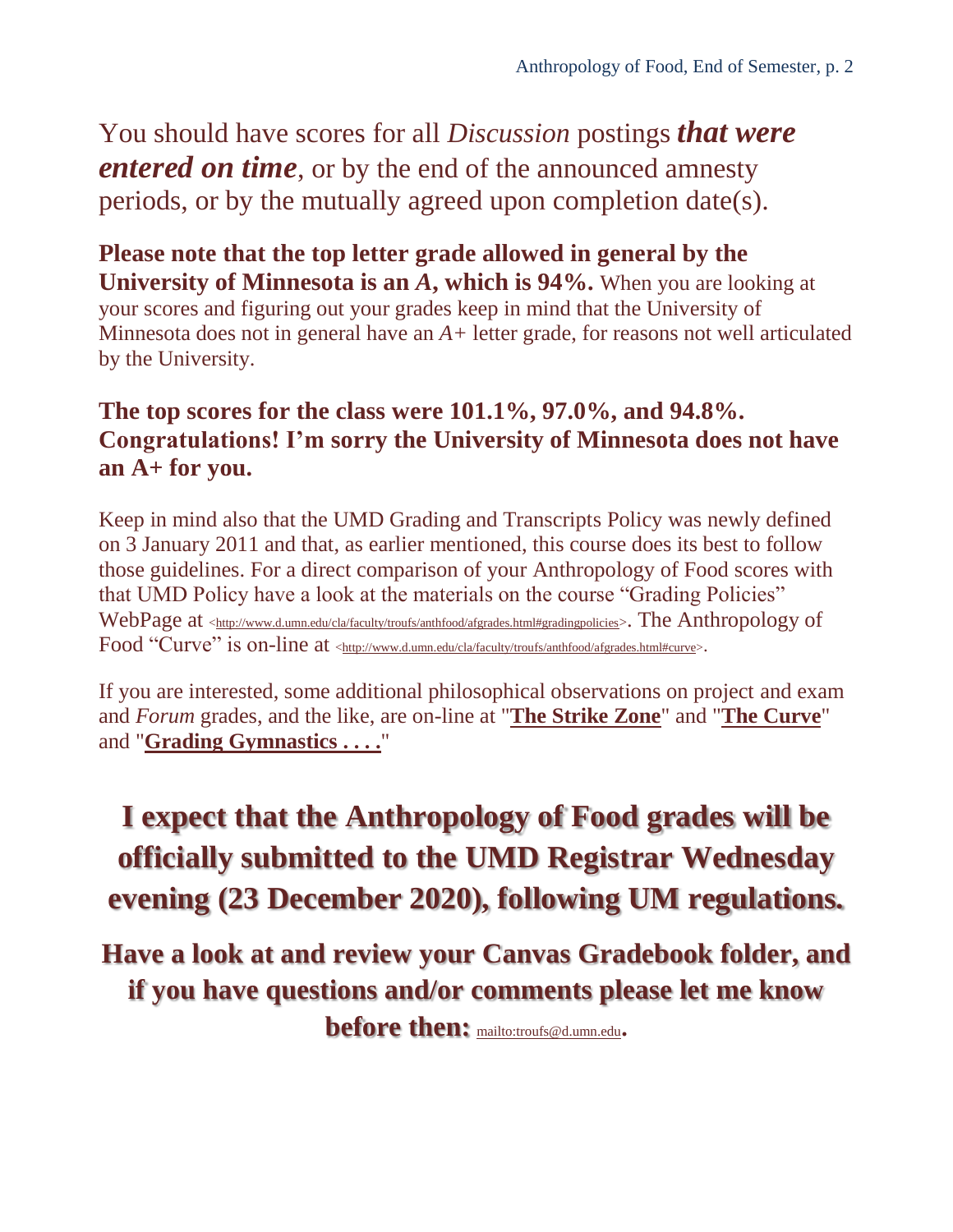You should have scores for all *Discussion* postings *that were entered on time*, or by the end of the announced amnesty periods, or by the mutually agreed upon completion date(s).

**Please note that the top letter grade allowed in general by the University of Minnesota is an** *A***, which is 94%.** When you are looking at your scores and figuring out your grades keep in mind that the University of Minnesota does not in general have an *A+* letter grade, for reasons not well articulated by the University.

#### **The top scores for the class were 101.1%, 97.0%, and 94.8%. Congratulations! I'm sorry the University of Minnesota does not have an A+ for you.**

Keep in mind also that the UMD Grading and Transcripts Policy was newly defined on 3 January 2011 and that, as earlier mentioned, this course does its best to follow those guidelines. For a direct comparison of your Anthropology of Food scores with that UMD Policy have a look at the materials on the course "Grading Policies" WebPage at [<http://www.d.umn.edu/cla/faculty/troufs/anthfood/afgrades.html#gradingpolicies](http://www.d.umn.edu/cla/faculty/troufs/anthfood/afgrades.html#gradingpolicies)>. The Anthropology of Food "Curve" is on-line at [<http://www.d.umn.edu/cla/faculty/troufs/anthfood/afgrades.html#curve>](http://www.d.umn.edu/cla/faculty/troufs/anthfood/afgrades.html#curve).

If you are interested, some additional philosophical observations on project and exam and *Forum* grades, and the like, are on-line at "**[The Strike Zone](http://www.d.umn.edu/cla/faculty/troufs/anthfood/afgrades.html#strikezone)**" and "**[The Curve](http://www.d.umn.edu/cla/faculty/troufs/anthfood/afgrades.html#curve)**" and "**[Grading Gymnastics](http://www.d.umn.edu/cla/faculty/troufs/anthfood/afgrades.html#gymnastics) . . . .**"

**I expect that the Anthropology of Food grades will be officially submitted to the UMD Registrar Wednesday evening (23 December 2020), following UM regulations.**

**Have a look at and review your Canvas Gradebook folder, and if you have questions and/or comments please let me know before then:** <mailto:troufs@d.umn.edu>**.**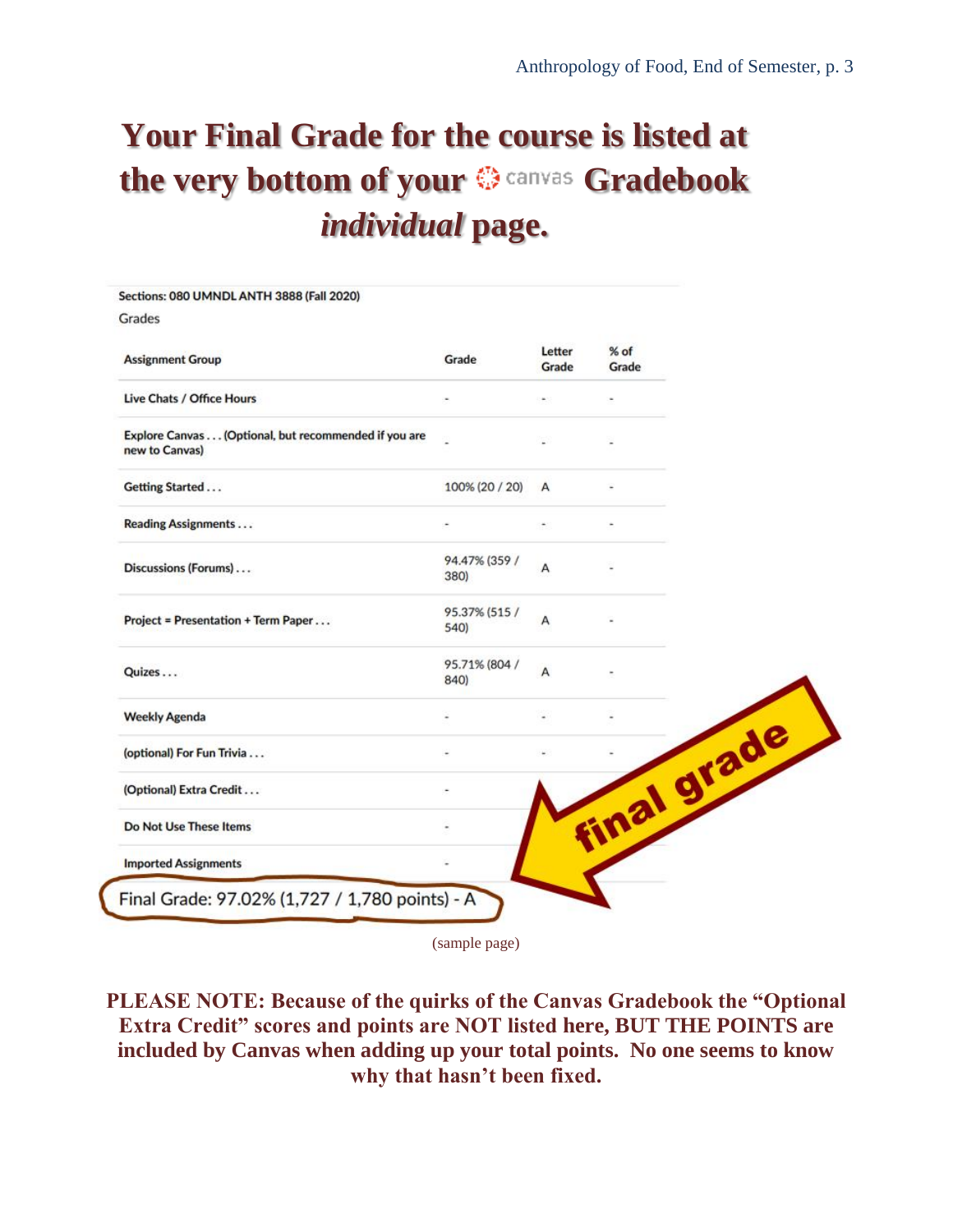# **Your Final Grade for the course is listed at**  the very bottom of your  $\mathbb{Q}$  canvas Gradebook *individual* **page.**

| Sections: 080 UMNDL ANTH 3888 (Fall 2020)                              |                       |                 |                 |
|------------------------------------------------------------------------|-----------------------|-----------------|-----------------|
| Grades                                                                 |                       |                 |                 |
| <b>Assignment Group</b>                                                | Grade                 | Letter<br>Grade | $%$ of<br>Grade |
| Live Chats / Office Hours                                              |                       |                 |                 |
| Explore Canvas (Optional, but recommended if you are<br>new to Canvas) |                       |                 |                 |
| Getting Started                                                        | 100% (20 / 20)        | A               |                 |
| <b>Reading Assignments</b>                                             |                       |                 |                 |
| Discussions (Forums)                                                   | 94.47% (359 /<br>380) | A               |                 |
| Project = Presentation + Term Paper                                    | 95.37% (515 /<br>540) | А               |                 |
| Quizes                                                                 | 95.71% (804 /<br>840) | A               |                 |
| <b>Weekly Agenda</b>                                                   |                       |                 |                 |
| (optional) For Fun Trivia                                              |                       |                 |                 |
| (Optional) Extra Credit                                                |                       |                 |                 |
| Do Not Use These Items                                                 |                       |                 | inal grade      |
| <b>Imported Assignments</b>                                            |                       |                 |                 |

(sample page)

**PLEASE NOTE: Because of the quirks of the Canvas Gradebook the "Optional Extra Credit" scores and points are NOT listed here, BUT THE POINTS are included by Canvas when adding up your total points. No one seems to know why that hasn't been fixed.**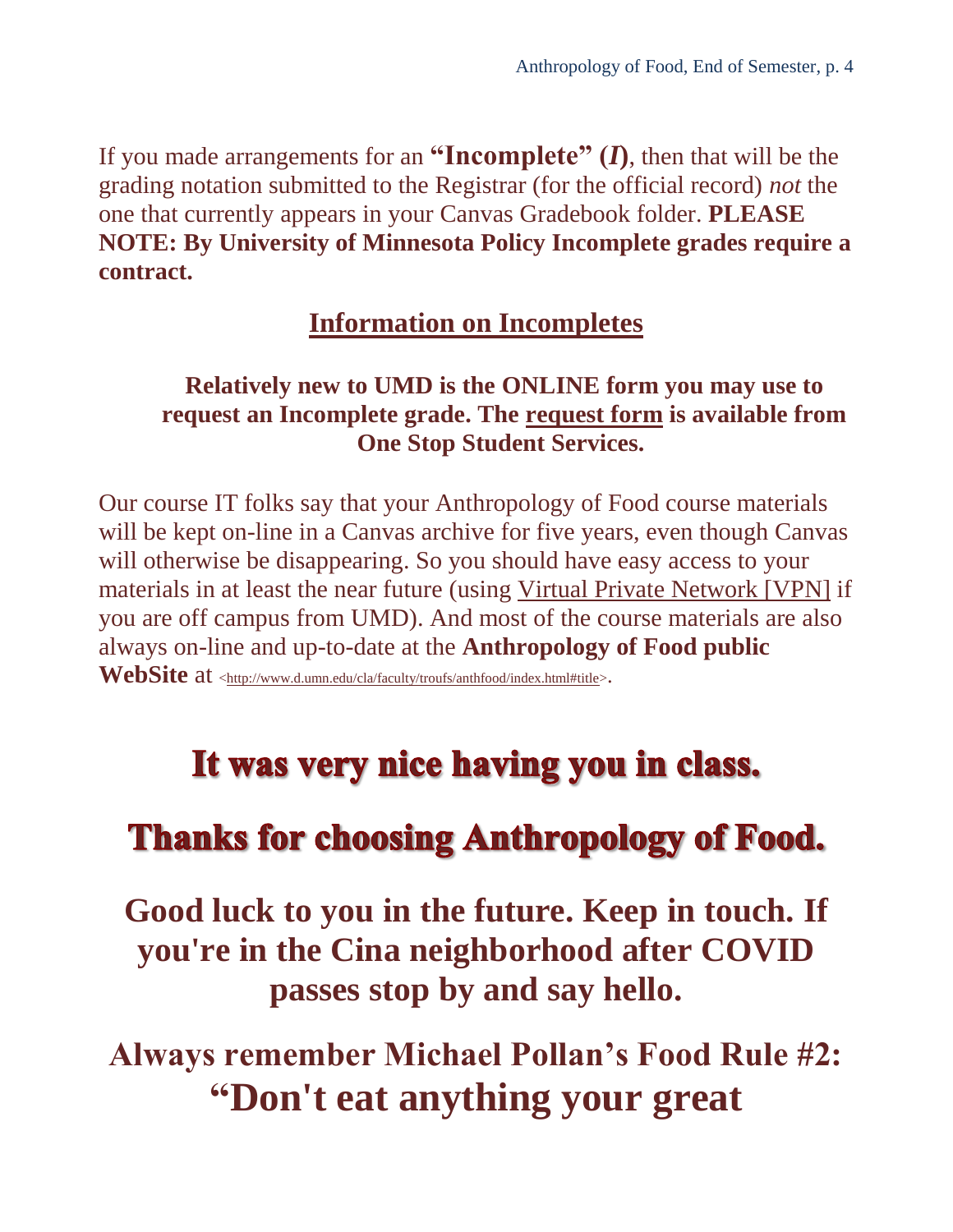If you made arrangements for an **"Incomplete"**  $(I)$ , then that will be the grading notation submitted to the Registrar (for the official record) *not* the one that currently appears in your Canvas Gradebook folder. **PLEASE NOTE: By University of Minnesota Policy Incomplete grades require a contract.**

#### **[Information on Incompletes](http://www.d.umn.edu/cla/faculty/troufs/tr/incompletes.html#title)**

#### **Relatively new to UMD is the ONLINE form you may use to request an Incomplete grade. The [request form](https://onestop.d.umn.edu/forms) is available from One Stop Student Services.**

Our course IT folks say that your Anthropology of Food course materials will be kept on-line in a Canvas archive for five years, even though Canvas will otherwise be disappearing. So you should have easy access to your materials in at least the near future (using [Virtual Private Network \[VPN\]](http://www.d.umn.edu/itss/vpn/) if you are off campus from UMD). And most of the course materials are also always on-line and up-to-date at the **Anthropology of Food public** 

WebSite at [<http://www.d.umn.edu/cla/faculty/troufs/anthfood/index.html#title>](http://www.d.umn.edu/cla/faculty/troufs/anthfood/index.html#title).

## It was very nice having you in class.

## **Thanks for choosing Anthropology of Food.**

**Good luck to you in the future. Keep in touch. If you're in the Cina neighborhood after COVID passes stop by and say hello.**

**Always remember Michael Pollan's Food Rule #2: "Don't eat anything your great**